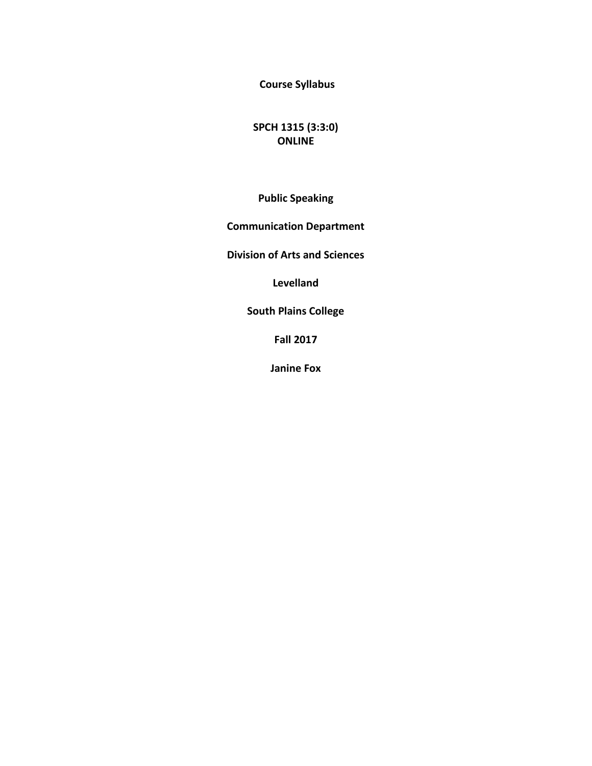**Course Syllabus** 

**SPCH 1315 (3:3:0) ONLINE**

**Public Speaking**

**Communication Department** 

**Division of Arts and Sciences** 

**Levelland**

**South Plains College** 

**Fall 2017**

**Janine Fox**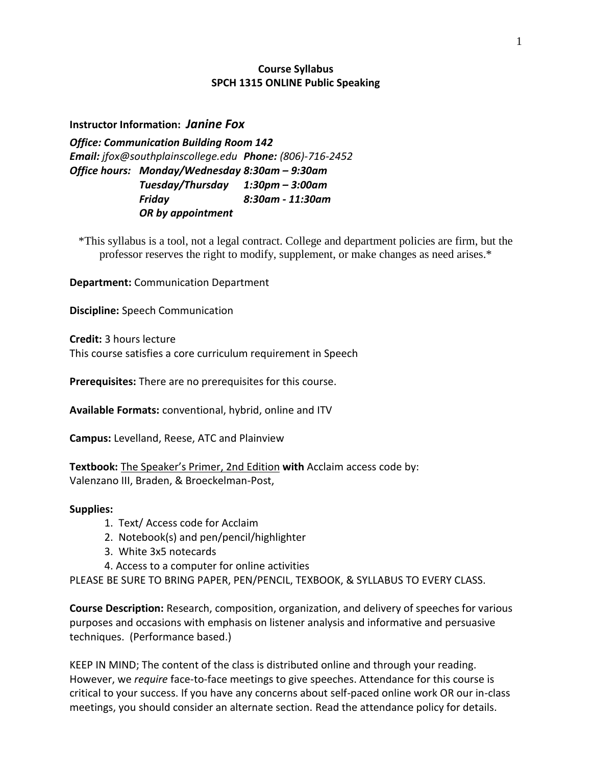## **Course Syllabus SPCH 1315 ONLINE Public Speaking**

**Instructor Information:** *Janine Fox*

*Office: Communication Building Room 142 Email: jfox@southplainscollege.edu Phone: (806)-716-2452 Office hours: Monday/Wednesday 8:30am – 9:30am Tuesday/Thursday 1:30pm – 3:00am Friday 8:30am - 11:30am OR by appointment*

\*This syllabus is a tool, not a legal contract. College and department policies are firm, but the professor reserves the right to modify, supplement, or make changes as need arises.\*

**Department:** Communication Department

**Discipline:** Speech Communication

**Credit:** 3 hours lecture This course satisfies a core curriculum requirement in Speech

**Prerequisites:** There are no prerequisites for this course.

**Available Formats:** conventional, hybrid, online and ITV

**Campus:** Levelland, Reese, ATC and Plainview

**Textbook:** The Speaker's Primer, 2nd Edition **with** Acclaim access code by: Valenzano III, Braden, & Broeckelman-Post,

#### **Supplies:**

- 1. Text/ Access code for Acclaim
- 2. Notebook(s) and pen/pencil/highlighter
- 3. White 3x5 notecards
- 4. Access to a computer for online activities

PLEASE BE SURE TO BRING PAPER, PEN/PENCIL, TEXBOOK, & SYLLABUS TO EVERY CLASS.

**Course Description:** Research, composition, organization, and delivery of speeches for various purposes and occasions with emphasis on listener analysis and informative and persuasive techniques. (Performance based.)

KEEP IN MIND; The content of the class is distributed online and through your reading. However, we *require* face-to-face meetings to give speeches. Attendance for this course is critical to your success. If you have any concerns about self-paced online work OR our in-class meetings, you should consider an alternate section. Read the attendance policy for details.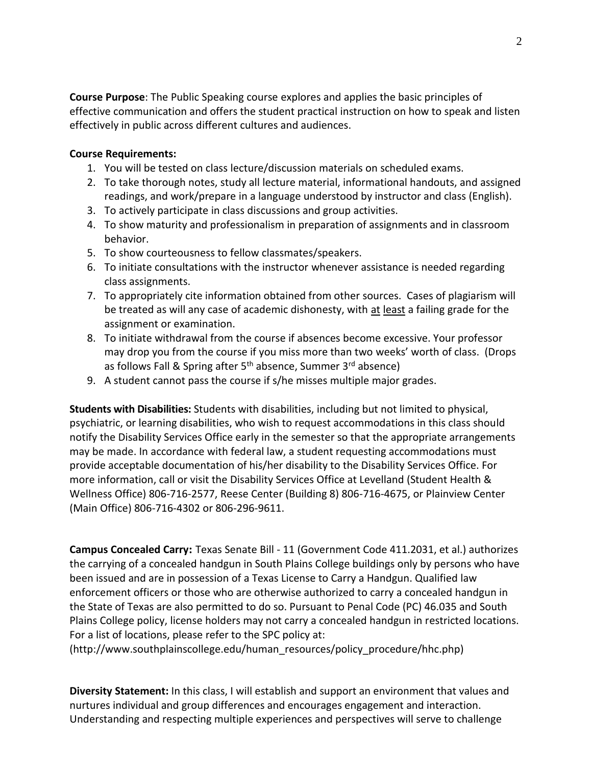**Course Purpose**: The Public Speaking course explores and applies the basic principles of effective communication and offers the student practical instruction on how to speak and listen effectively in public across different cultures and audiences.

# **Course Requirements:**

- 1. You will be tested on class lecture/discussion materials on scheduled exams.
- 2. To take thorough notes, study all lecture material, informational handouts, and assigned readings, and work/prepare in a language understood by instructor and class (English).
- 3. To actively participate in class discussions and group activities.
- 4. To show maturity and professionalism in preparation of assignments and in classroom behavior.
- 5. To show courteousness to fellow classmates/speakers.
- 6. To initiate consultations with the instructor whenever assistance is needed regarding class assignments.
- 7. To appropriately cite information obtained from other sources. Cases of plagiarism will be treated as will any case of academic dishonesty, with at least a failing grade for the assignment or examination.
- 8. To initiate withdrawal from the course if absences become excessive. Your professor may drop you from the course if you miss more than two weeks' worth of class. (Drops as follows Fall & Spring after 5<sup>th</sup> absence, Summer 3<sup>rd</sup> absence)
- 9. A student cannot pass the course if s/he misses multiple major grades.

**Students with Disabilities:** Students with disabilities, including but not limited to physical, psychiatric, or learning disabilities, who wish to request accommodations in this class should notify the Disability Services Office early in the semester so that the appropriate arrangements may be made. In accordance with federal law, a student requesting accommodations must provide acceptable documentation of his/her disability to the Disability Services Office. For more information, call or visit the Disability Services Office at Levelland (Student Health & Wellness Office) 806-716-2577, Reese Center (Building 8) 806-716-4675, or Plainview Center (Main Office) 806-716-4302 or 806-296-9611.

**Campus Concealed Carry:** Texas Senate Bill - 11 (Government Code 411.2031, et al.) authorizes the carrying of a concealed handgun in South Plains College buildings only by persons who have been issued and are in possession of a Texas License to Carry a Handgun. Qualified law enforcement officers or those who are otherwise authorized to carry a concealed handgun in the State of Texas are also permitted to do so. Pursuant to Penal Code (PC) 46.035 and South Plains College policy, license holders may not carry a concealed handgun in restricted locations. For a list of locations, please refer to the SPC policy at:

(http://www.southplainscollege.edu/human\_resources/policy\_procedure/hhc.php)

**Diversity Statement:** In this class, I will establish and support an environment that values and nurtures individual and group differences and encourages engagement and interaction. Understanding and respecting multiple experiences and perspectives will serve to challenge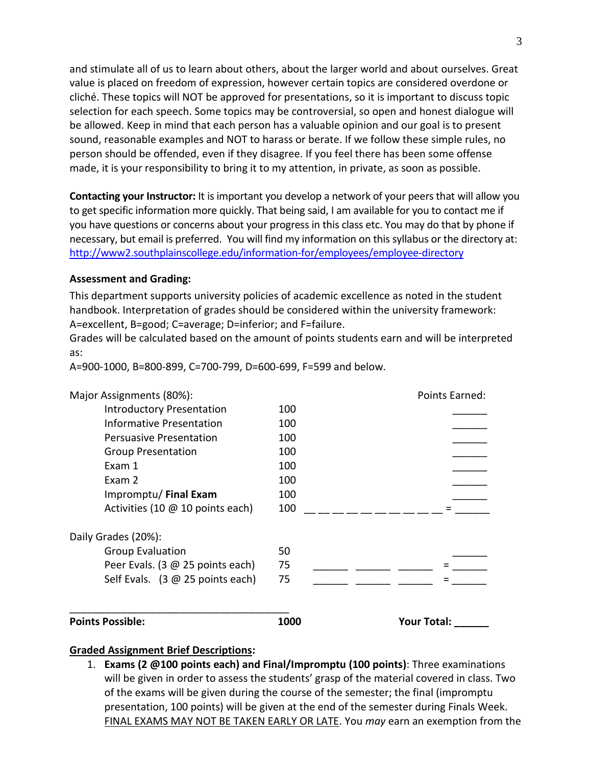and stimulate all of us to learn about others, about the larger world and about ourselves. Great value is placed on freedom of expression, however certain topics are considered overdone or cliché. These topics will NOT be approved for presentations, so it is important to discuss topic selection for each speech. Some topics may be controversial, so open and honest dialogue will be allowed. Keep in mind that each person has a valuable opinion and our goal is to present sound, reasonable examples and NOT to harass or berate. If we follow these simple rules, no person should be offended, even if they disagree. If you feel there has been some offense made, it is your responsibility to bring it to my attention, in private, as soon as possible.

**Contacting your Instructor:** It is important you develop a network of your peers that will allow you to get specific information more quickly. That being said, I am available for you to contact me if you have questions or concerns about your progress in this class etc. You may do that by phone if necessary, but email is preferred. You will find my information on this syllabus or the directory at: <http://www2.southplainscollege.edu/information-for/employees/employee-directory>

# **Assessment and Grading:**

This department supports university policies of academic excellence as noted in the student handbook. Interpretation of grades should be considered within the university framework: A=excellent, B=good; C=average; D=inferior; and F=failure.

Grades will be calculated based on the amount of points students earn and will be interpreted as:

| Major Assignments (80%):                         |      | Points Earned: |
|--------------------------------------------------|------|----------------|
| <b>Introductory Presentation</b>                 | 100  |                |
| Informative Presentation                         | 100  |                |
| Persuasive Presentation                          | 100  |                |
| <b>Group Presentation</b>                        | 100  |                |
| Exam 1                                           | 100  |                |
| Exam 2                                           | 100  |                |
| Impromptu/ Final Exam                            | 100  |                |
| Activities (10 @ 10 points each)                 | 100  |                |
| Daily Grades (20%):                              |      |                |
| <b>Group Evaluation</b>                          | 50   |                |
| Peer Evals. (3 @ 25 points each)                 | 75   |                |
| Self Evals. $(3 \oslash 25 \text{ points each})$ | 75   |                |
|                                                  |      |                |
| <b>Points Possible:</b>                          | 1000 | Your Total:    |

A=900-1000, B=800-899, C=700-799, D=600-699, F=599 and below.

#### **Graded Assignment Brief Descriptions:**

1. **Exams (2 @100 points each) and Final/Impromptu (100 points)**: Three examinations will be given in order to assess the students' grasp of the material covered in class. Two of the exams will be given during the course of the semester; the final (impromptu presentation, 100 points) will be given at the end of the semester during Finals Week. FINAL EXAMS MAY NOT BE TAKEN EARLY OR LATE. You *may* earn an exemption from the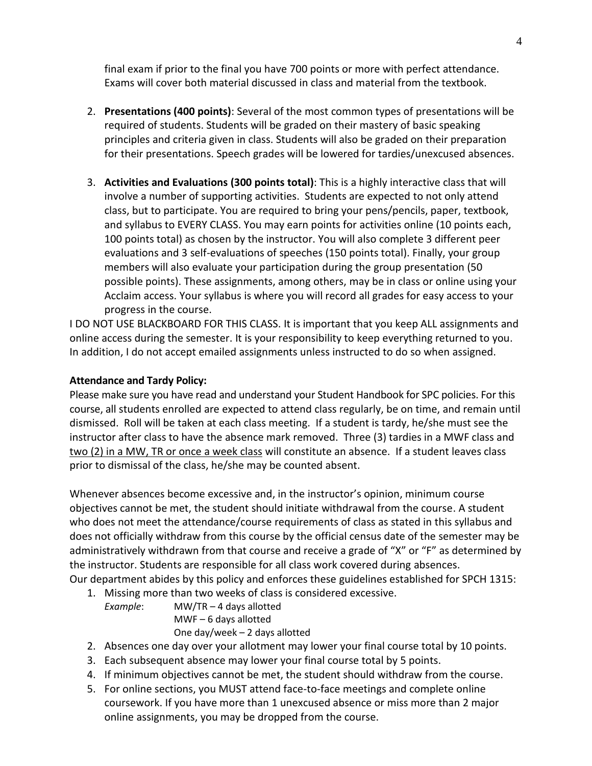final exam if prior to the final you have 700 points or more with perfect attendance. Exams will cover both material discussed in class and material from the textbook.

- 2. **Presentations (400 points)**: Several of the most common types of presentations will be required of students. Students will be graded on their mastery of basic speaking principles and criteria given in class. Students will also be graded on their preparation for their presentations. Speech grades will be lowered for tardies/unexcused absences.
- 3. **Activities and Evaluations (300 points total)**: This is a highly interactive class that will involve a number of supporting activities. Students are expected to not only attend class, but to participate. You are required to bring your pens/pencils, paper, textbook, and syllabus to EVERY CLASS. You may earn points for activities online (10 points each, 100 points total) as chosen by the instructor. You will also complete 3 different peer evaluations and 3 self-evaluations of speeches (150 points total). Finally, your group members will also evaluate your participation during the group presentation (50 possible points). These assignments, among others, may be in class or online using your Acclaim access. Your syllabus is where you will record all grades for easy access to your progress in the course.

I DO NOT USE BLACKBOARD FOR THIS CLASS. It is important that you keep ALL assignments and online access during the semester. It is your responsibility to keep everything returned to you. In addition, I do not accept emailed assignments unless instructed to do so when assigned.

# **Attendance and Tardy Policy:**

Please make sure you have read and understand your Student Handbook for SPC policies. For this course, all students enrolled are expected to attend class regularly, be on time, and remain until dismissed. Roll will be taken at each class meeting. If a student is tardy, he/she must see the instructor after class to have the absence mark removed. Three (3) tardies in a MWF class and two (2) in a MW, TR or once a week class will constitute an absence. If a student leaves class prior to dismissal of the class, he/she may be counted absent.

Whenever absences become excessive and, in the instructor's opinion, minimum course objectives cannot be met, the student should initiate withdrawal from the course. A student who does not meet the attendance/course requirements of class as stated in this syllabus and does not officially withdraw from this course by the official census date of the semester may be administratively withdrawn from that course and receive a grade of "X" or "F" as determined by the instructor. Students are responsible for all class work covered during absences. Our department abides by this policy and enforces these guidelines established for SPCH 1315:

1. Missing more than two weeks of class is considered excessive.

*Example*: MW/TR – 4 days allotted MWF – 6 days allotted One day/week – 2 days allotted

- 2. Absences one day over your allotment may lower your final course total by 10 points.
- 3. Each subsequent absence may lower your final course total by 5 points.
- 4. If minimum objectives cannot be met, the student should withdraw from the course.
- 5. For online sections, you MUST attend face-to-face meetings and complete online coursework. If you have more than 1 unexcused absence or miss more than 2 major online assignments, you may be dropped from the course.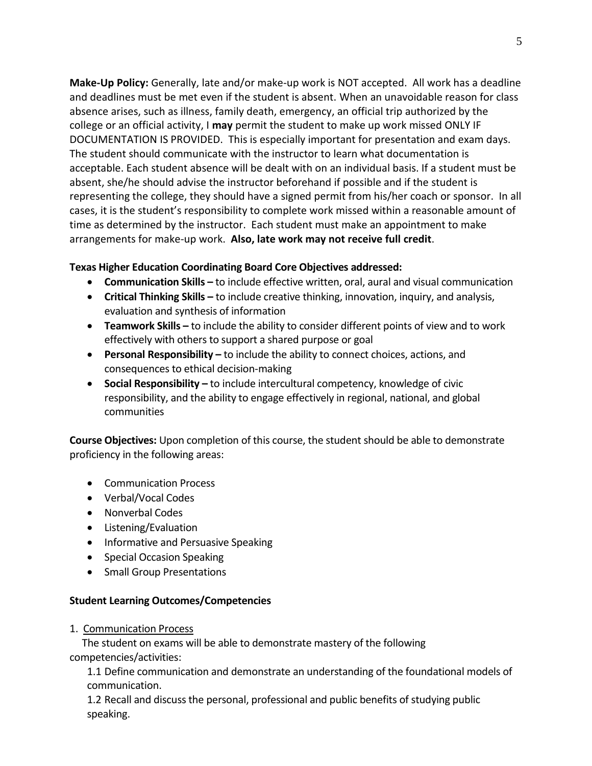**Make-Up Policy:** Generally, late and/or make-up work is NOT accepted. All work has a deadline and deadlines must be met even if the student is absent. When an unavoidable reason for class absence arises, such as illness, family death, emergency, an official trip authorized by the college or an official activity, I **may** permit the student to make up work missed ONLY IF DOCUMENTATION IS PROVIDED. This is especially important for presentation and exam days. The student should communicate with the instructor to learn what documentation is acceptable. Each student absence will be dealt with on an individual basis. If a student must be absent, she/he should advise the instructor beforehand if possible and if the student is representing the college, they should have a signed permit from his/her coach or sponsor. In all cases, it is the student's responsibility to complete work missed within a reasonable amount of time as determined by the instructor. Each student must make an appointment to make arrangements for make-up work. **Also, late work may not receive full credit**.

# **Texas Higher Education Coordinating Board Core Objectives addressed:**

- **Communication Skills -** to include effective written, oral, aural and visual communication
- **Critical Thinking Skills –** to include creative thinking, innovation, inquiry, and analysis, evaluation and synthesis of information
- **Teamwork Skills –** to include the ability to consider different points of view and to work effectively with others to support a shared purpose or goal
- **Personal Responsibility –** to include the ability to connect choices, actions, and consequences to ethical decision-making
- **Social Responsibility –** to include intercultural competency, knowledge of civic responsibility, and the ability to engage effectively in regional, national, and global communities

**Course Objectives:** Upon completion of this course, the student should be able to demonstrate proficiency in the following areas:

- **•** Communication Process
- Verbal/Vocal Codes
- Nonverbal Codes
- Listening/Evaluation
- Informative and Persuasive Speaking
- Special Occasion Speaking
- Small Group Presentations

#### **Student Learning Outcomes/Competencies**

1. Communication Process

 The student on exams will be able to demonstrate mastery of the following competencies/activities:

1.1 Define communication and demonstrate an understanding of the foundational models of communication.

1.2 Recall and discuss the personal, professional and public benefits of studying public speaking.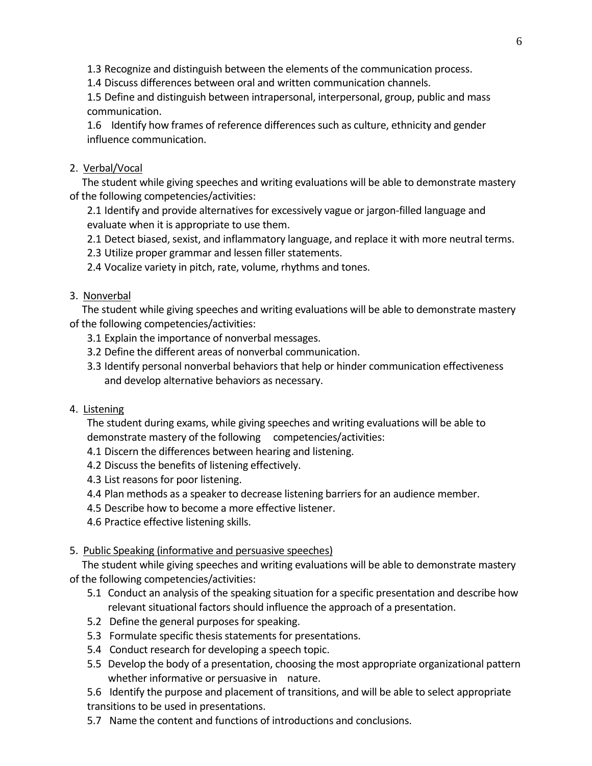1.3 Recognize and distinguish between the elements of the communication process.

1.4 Discuss differences between oral and written communication channels.

1.5 Define and distinguish between intrapersonal, interpersonal, group, public and mass communication.

1.6 Identify how frames of reference differences such as culture, ethnicity and gender influence communication.

## 2. Verbal/Vocal

 The student while giving speeches and writing evaluations will be able to demonstrate mastery of the following competencies/activities:

2.1 Identify and provide alternatives for excessively vague or jargon-filled language and evaluate when it is appropriate to use them.

2.1 Detect biased, sexist, and inflammatory language, and replace it with more neutral terms.

2.3 Utilize proper grammar and lessen filler statements.

2.4 Vocalize variety in pitch, rate, volume, rhythms and tones.

# 3. Nonverbal

 The student while giving speeches and writing evaluations will be able to demonstrate mastery of the following competencies/activities:

- 3.1 Explain the importance of nonverbal messages.
- 3.2 Define the different areas of nonverbal communication.
- 3.3 Identify personal nonverbal behaviors that help or hinder communication effectiveness and develop alternative behaviors as necessary.
- 4. Listening

The student during exams, while giving speeches and writing evaluations will be able to demonstrate mastery of the following competencies/activities:

- 4.1 Discern the differences between hearing and listening.
- 4.2 Discuss the benefits of listening effectively.
- 4.3 List reasons for poor listening.
- 4.4 Plan methods as a speaker to decrease listening barriers for an audience member.
- 4.5 Describe how to become a more effective listener.
- 4.6 Practice effective listening skills.

## 5. Public Speaking (informative and persuasive speeches)

 The student while giving speeches and writing evaluations will be able to demonstrate mastery of the following competencies/activities:

- 5.1 Conduct an analysis of the speaking situation for a specific presentation and describe how relevant situational factors should influence the approach of a presentation.
- 5.2 Define the general purposes for speaking.
- 5.3 Formulate specific thesis statements for presentations.
- 5.4 Conduct research for developing a speech topic.
- 5.5 Develop the body of a presentation, choosing the most appropriate organizational pattern whether informative or persuasive in nature.

5.6 Identify the purpose and placement of transitions, and will be able to select appropriate transitions to be used in presentations.

5.7 Name the content and functions of introductions and conclusions.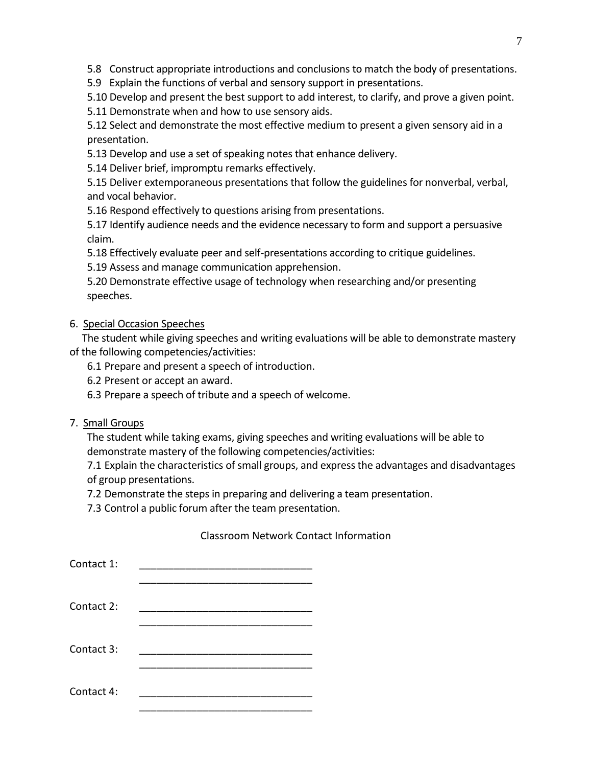5.8 Construct appropriate introductions and conclusions to match the body of presentations.

5.9 Explain the functions of verbal and sensory support in presentations.

5.10 Develop and present the best support to add interest, to clarify, and prove a given point.

5.11 Demonstrate when and how to use sensory aids.

5.12 Select and demonstrate the most effective medium to present a given sensory aid in a presentation.

5.13 Develop and use a set of speaking notes that enhance delivery.

5.14 Deliver brief, impromptu remarks effectively.

5.15 Deliver extemporaneous presentations that follow the guidelines for nonverbal, verbal, and vocal behavior.

5.16 Respond effectively to questions arising from presentations.

5.17 Identify audience needs and the evidence necessary to form and support a persuasive claim.

5.18 Effectively evaluate peer and self-presentations according to critique guidelines.

5.19 Assess and manage communication apprehension.

5.20 Demonstrate effective usage of technology when researching and/or presenting speeches.

# 6. Special Occasion Speeches

 The student while giving speeches and writing evaluations will be able to demonstrate mastery of the following competencies/activities:

6.1 Prepare and present a speech of introduction.

6.2 Present or accept an award.

6.3 Prepare a speech of tribute and a speech of welcome.

#### 7. Small Groups

The student while taking exams, giving speeches and writing evaluations will be able to demonstrate mastery of the following competencies/activities:

7.1 Explain the characteristics of small groups, and express the advantages and disadvantages of group presentations.

7.2 Demonstrate the steps in preparing and delivering a team presentation.

7.3 Control a public forum after the team presentation.

# Classroom Network Contact Information

| Contact 1: |  |
|------------|--|
| Contact 2: |  |
| Contact 3: |  |
| Contact 4: |  |